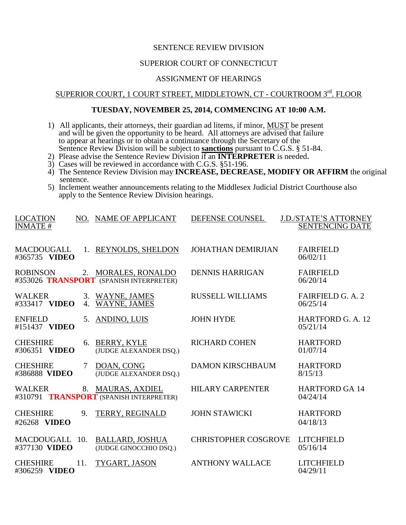#### SENTENCE REVIEW DIVISION

#### SUPERIOR COURT OF CONNECTICUT

#### ASSIGNMENT OF HEARINGS

## SUPERIOR COURT, 1 COURT STREET, MIDDLETOWN, CT - COURTROOM 3<sup>rd</sup>. FLOOR

#### **TUESDAY, NOVEMBER 25, 2014, COMMENCING AT 10:00 A.M.**

- 1) All applicants, their attorneys, their guardian ad litems, if minor, MUST be present and will be given the opportunity to be heard. All attorneys are advised that failure to appear at hearings or to obtain a continuance through the Secretary of the Sentence Review Division will be subject to **sanctions** pursuant to C.G.S. § 51-84.
- 2) Please advise the Sentence Review Division if an **INTERPRETER** is needed.
- 3) Cases will be reviewed in accordance with C.G.S. §51-196.
- 4) The Sentence Review Division may **INCREASE, DECREASE, MODIFY OR AFFIRM** the original sentence.
- 5) Inclement weather announcements relating to the Middlesex Judicial District Courthouse also apply to the Sentence Review Division hearings.

| <b>LOCATION</b><br><b>INMATE#</b>  |     | NO. NAME OF APPLICANT                                            | DEFENSE COUNSEL             | <b>J.D./STATE'S ATTORNEY</b><br><b>SENTENCING DATE</b> |
|------------------------------------|-----|------------------------------------------------------------------|-----------------------------|--------------------------------------------------------|
| <b>MACDOUGALL</b><br>#365735 VIDEO | 1.  | <b>REYNOLDS, SHELDON</b>                                         | <b>JOHATHAN DEMIRJIAN</b>   | <b>FAIRFIELD</b><br>06/02/11                           |
| <b>ROBINSON</b>                    |     | 2. MORALES, RONALDO<br>#353026 TRANSPORT (SPANISH INTERPRETER)   | <b>DENNIS HARRIGAN</b>      | <b>FAIRFIELD</b><br>06/20/14                           |
| <b>WALKER</b><br>#333417 VIDEO     | 4.  | 3. WAYNE, JAMES<br><b>WAYNE, JAMES</b>                           | <b>RUSSELL WILLIAMS</b>     | <b>FAIRFIELD G. A. 2</b><br>06/25/14                   |
| <b>ENFIELD</b><br>#151437 VIDEO    | 5.  | <b>ANDINO, LUIS</b>                                              | <b>JOHN HYDE</b>            | <b>HARTFORD G. A. 12</b><br>05/21/14                   |
| <b>CHESHIRE</b><br>#306351 VIDEO   | 6.  | <b>BERRY, KYLE</b><br>(JUDGE ALEXANDER DSQ.)                     | <b>RICHARD COHEN</b>        | <b>HARTFORD</b><br>01/07/14                            |
| <b>CHESHIRE</b><br>#386888 VIDEO   | 7   | DOAN, CONG<br>(JUDGE ALEXANDER DSQ.)                             | <b>DAMON KIRSCHBAUM</b>     | <b>HARTFORD</b><br>8/15/13                             |
| <b>WALKER</b>                      | 8.  | <b>MAURAS, AXDIEL</b><br>#310791 TRANSPORT (SPANISH INTERPRETER) | <b>HILARY CARPENTER</b>     | <b>HARTFORD GA 14</b><br>04/24/14                      |
| <b>CHESHIRE</b><br>#26268 VIDEO    | 9.  | <b>TERRY, REGINALD</b>                                           | <b>JOHN STAWICKI</b>        | <b>HARTFORD</b><br>04/18/13                            |
| <b>MACDOUGALL</b><br>#377130 VIDEO | 10. | <b>BALLARD, JOSHUA</b><br>(JUDGE GINOCCHIO DSO.)                 | <b>CHRISTOPHER COSGROVE</b> | <b>LITCHFIELD</b><br>05/16/14                          |
| <b>CHESHIRE</b><br>#306259 VIDEO   | 11. | TYGART, JASON                                                    | <b>ANTHONY WALLACE</b>      | <b>LITCHFIELD</b><br>04/29/11                          |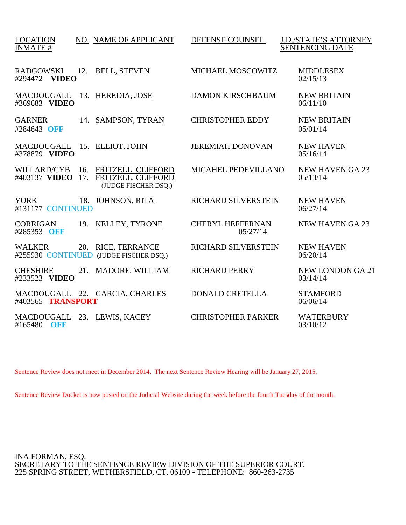| <b>LOCATION</b><br><b>INMATE#</b>   |            | NO. NAME OF APPLICANT                                            | DEFENSE COUNSEL                     | <b>J.D./STATE'S ATTORNEY</b><br><b>SENTENCING DATE</b> |
|-------------------------------------|------------|------------------------------------------------------------------|-------------------------------------|--------------------------------------------------------|
| <b>RADGOWSKI</b><br>#294472 VIDEO   | 12.        | <b>BELL, STEVEN</b>                                              | <b>MICHAEL MOSCOWITZ</b>            | <b>MIDDLESEX</b><br>02/15/13                           |
| <b>MACDOUGALL</b><br>#369683 VIDEO  |            | 13. HEREDIA, JOSE                                                | <b>DAMON KIRSCHBAUM</b>             | <b>NEW BRITAIN</b><br>06/11/10                         |
| <b>GARNER</b><br>#284643 OFF        |            | 14. SAMPSON, TYRAN                                               | <b>CHRISTOPHER EDDY</b>             | <b>NEW BRITAIN</b><br>05/01/14                         |
| MACDOUGALL<br>#378879 VIDEO         |            | 15. ELLIOT, JOHN                                                 | <b>JEREMIAH DONOVAN</b>             | <b>NEW HAVEN</b><br>05/16/14                           |
| <b>WILLARD/CYB</b><br>#403137 VIDEO | 16.<br>17. | FRITZELL, CLIFFORD<br>FRITZELL, CLIFFORD<br>(JUDGE FISCHER DSQ.) | <b>MICAHEL PEDEVILLANO</b>          | <b>NEW HAVEN GA 23</b><br>05/13/14                     |
| <b>YORK</b><br>#131177 CONTINUED    |            | 18. JOHNSON, RITA                                                | <b>RICHARD SILVERSTEIN</b>          | <b>NEW HAVEN</b><br>06/27/14                           |
| <b>CORRIGAN</b><br>#285353 OFF      | 19.        | KELLEY, TYRONE                                                   | <b>CHERYL HEFFERNAN</b><br>05/27/14 | <b>NEW HAVEN GA 23</b>                                 |
| <b>WALKER</b>                       | 20.        | <b>RICE, TERRANCE</b><br>#255930 CONTINUED (JUDGE FISCHER DSQ.)  | <b>RICHARD SILVERSTEIN</b>          | <b>NEW HAVEN</b><br>06/20/14                           |
| <b>CHESHIRE</b><br>#233523 VIDEO    | 21.        | <b>MADORE, WILLIAM</b>                                           | <b>RICHARD PERRY</b>                | <b>NEW LONDON GA 21</b><br>03/14/14                    |
| #403565 TRANSPORT                   |            | MACDOUGALL 22. GARCIA, CHARLES                                   | <b>DONALD CRETELLA</b>              | <b>STAMFORD</b><br>06/06/14                            |
| MACDOUGALL<br>#165480<br>OFF        |            | 23. LEWIS, KACEY                                                 | <b>CHRISTOPHER PARKER</b>           | <b>WATERBURY</b><br>03/10/12                           |

Sentence Review does not meet in December 2014. The next Sentence Review Hearing will be January 27, 2015.

Sentence Review Docket is now posted on the Judicial Website during the week before the fourth Tuesday of the month.

INA FORMAN, ESQ. SECRETARY TO THE SENTENCE REVIEW DIVISION OF THE SUPERIOR COURT, 225 SPRING STREET, WETHERSFIELD, CT, 06109 - TELEPHONE: 860-263-2735